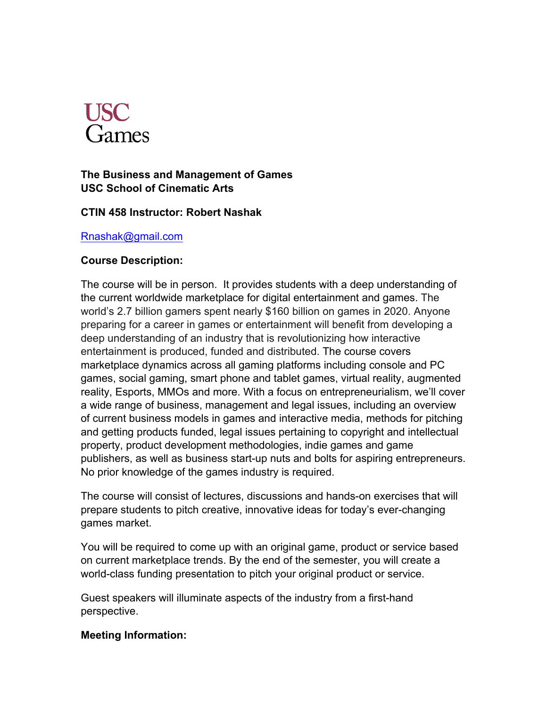

# **The Business and Management of Games USC School of Cinematic Arts**

## **CTIN 458 Instructor: Robert Nashak**

#### Rnashak@gmail.com

## **Course Description:**

The course will be in person. It provides students with a deep understanding of the current worldwide marketplace for digital entertainment and games. The world's 2.7 billion gamers spent nearly \$160 billion on games in 2020. Anyone preparing for a career in games or entertainment will benefit from developing a deep understanding of an industry that is revolutionizing how interactive entertainment is produced, funded and distributed. The course covers marketplace dynamics across all gaming platforms including console and PC games, social gaming, smart phone and tablet games, virtual reality, augmented reality, Esports, MMOs and more. With a focus on entrepreneurialism, we'll cover a wide range of business, management and legal issues, including an overview of current business models in games and interactive media, methods for pitching and getting products funded, legal issues pertaining to copyright and intellectual property, product development methodologies, indie games and game publishers, as well as business start-up nuts and bolts for aspiring entrepreneurs. No prior knowledge of the games industry is required.

The course will consist of lectures, discussions and hands-on exercises that will prepare students to pitch creative, innovative ideas for today's ever-changing games market.

You will be required to come up with an original game, product or service based on current marketplace trends. By the end of the semester, you will create a world-class funding presentation to pitch your original product or service.

Guest speakers will illuminate aspects of the industry from a first-hand perspective.

## **Meeting Information:**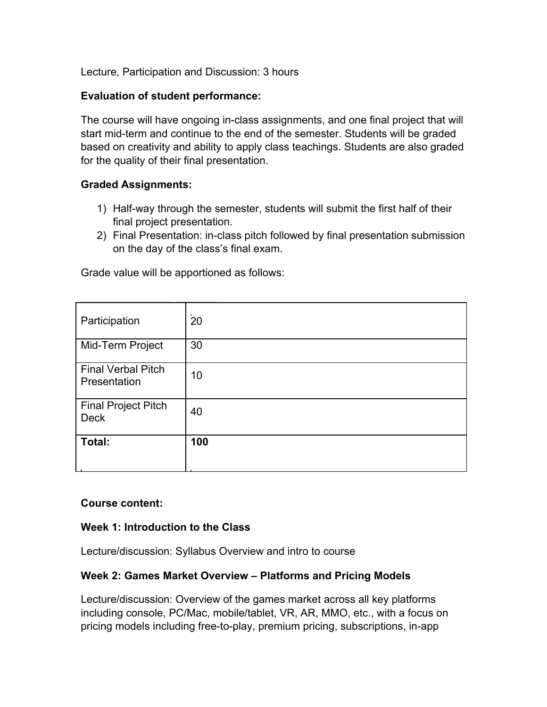Lecture, Participation and Discussion: 3 hours

## **Evaluation of student performance:**

The course will have ongoing in-class assignments, and one final project that will start mid-term and continue to the end of the semester. Students will be graded based on creativity and ability to apply class teachings. Students are also graded for the quality of their final presentation.

## **Graded Assignments:**

- 1) Half-way through the semester, students will submit the first half of their final project presentation.
- 2) Final Presentation: in-class pitch followed by final presentation submission on the day of the class's final exam.

Grade value will be apportioned as follows:

| Participation                             | ۰.<br>20 |
|-------------------------------------------|----------|
| Mid-Term Project                          | 30       |
| <b>Final Verbal Pitch</b><br>Presentation | 10       |
| <b>Final Project Pitch</b><br><b>Deck</b> | 40       |
| Total:                                    | 100      |

## **Course content:**

## **Week 1: Introduction to the Class**

Lecture/discussion: Syllabus Overview and intro to course

## **Week 2: Games Market Overview – Platforms and Pricing Models**

Lecture/discussion: Overview of the games market across all key platforms including console, PC/Mac, mobile/tablet, VR, AR, MMO, etc., with a focus on pricing models including free-to-play, premium pricing, subscriptions, in-app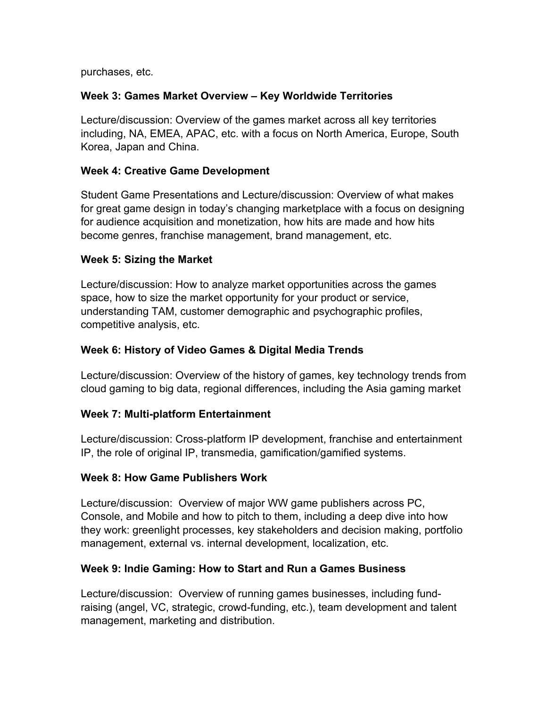purchases, etc.

# **Week 3: Games Market Overview – Key Worldwide Territories**

Lecture/discussion: Overview of the games market across all key territories including, NA, EMEA, APAC, etc. with a focus on North America, Europe, South Korea, Japan and China.

# **Week 4: Creative Game Development**

Student Game Presentations and Lecture/discussion: Overview of what makes for great game design in today's changing marketplace with a focus on designing for audience acquisition and monetization, how hits are made and how hits become genres, franchise management, brand management, etc.

## **Week 5: Sizing the Market**

Lecture/discussion: How to analyze market opportunities across the games space, how to size the market opportunity for your product or service, understanding TAM, customer demographic and psychographic profiles, competitive analysis, etc.

# **Week 6: History of Video Games & Digital Media Trends**

Lecture/discussion: Overview of the history of games, key technology trends from cloud gaming to big data, regional differences, including the Asia gaming market

## **Week 7: Multi-platform Entertainment**

Lecture/discussion: Cross-platform IP development, franchise and entertainment IP, the role of original IP, transmedia, gamification/gamified systems.

## **Week 8: How Game Publishers Work**

Lecture/discussion: Overview of major WW game publishers across PC, Console, and Mobile and how to pitch to them, including a deep dive into how they work: greenlight processes, key stakeholders and decision making, portfolio management, external vs. internal development, localization, etc.

## **Week 9: Indie Gaming: How to Start and Run a Games Business**

Lecture/discussion: Overview of running games businesses, including fundraising (angel, VC, strategic, crowd-funding, etc.), team development and talent management, marketing and distribution.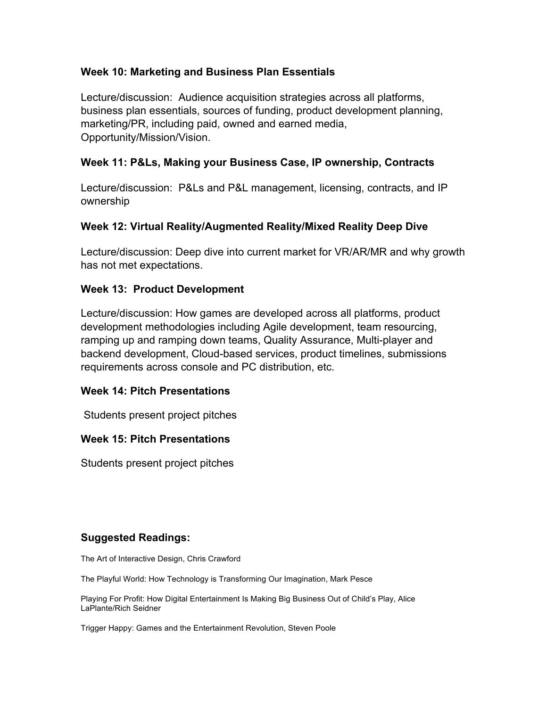## **Week 10: Marketing and Business Plan Essentials**

Lecture/discussion: Audience acquisition strategies across all platforms, business plan essentials, sources of funding, product development planning, marketing/PR, including paid, owned and earned media, Opportunity/Mission/Vision.

## **Week 11: P&Ls, Making your Business Case, IP ownership, Contracts**

Lecture/discussion: P&Ls and P&L management, licensing, contracts, and IP ownership

## **Week 12: Virtual Reality/Augmented Reality/Mixed Reality Deep Dive**

Lecture/discussion: Deep dive into current market for VR/AR/MR and why growth has not met expectations.

## **Week 13: Product Development**

Lecture/discussion: How games are developed across all platforms, product development methodologies including Agile development, team resourcing, ramping up and ramping down teams, Quality Assurance, Multi-player and backend development, Cloud-based services, product timelines, submissions requirements across console and PC distribution, etc.

#### **Week 14: Pitch Presentations**

Students present project pitches

## **Week 15: Pitch Presentations**

Students present project pitches

## **Suggested Readings:**

The Art of Interactive Design, Chris Crawford

The Playful World: How Technology is Transforming Our Imagination, Mark Pesce

Playing For Profit: How Digital Entertainment Is Making Big Business Out of Child's Play, Alice LaPlante/Rich Seidner

Trigger Happy: Games and the Entertainment Revolution, Steven Poole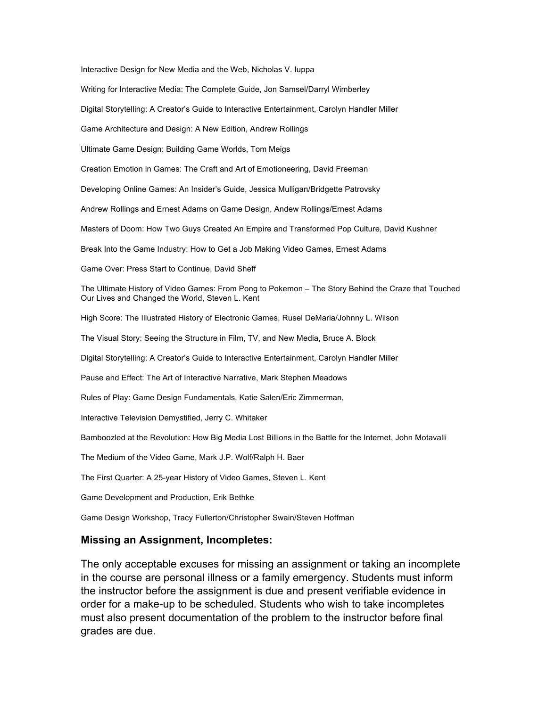Interactive Design for New Media and the Web, Nicholas V. Iuppa

Writing for Interactive Media: The Complete Guide, Jon Samsel/Darryl Wimberley

Digital Storytelling: A Creator's Guide to Interactive Entertainment, Carolyn Handler Miller

Game Architecture and Design: A New Edition, Andrew Rollings

Ultimate Game Design: Building Game Worlds, Tom Meigs

Creation Emotion in Games: The Craft and Art of Emotioneering, David Freeman

Developing Online Games: An Insider's Guide, Jessica Mulligan/Bridgette Patrovsky

Andrew Rollings and Ernest Adams on Game Design, Andew Rollings/Ernest Adams

Masters of Doom: How Two Guys Created An Empire and Transformed Pop Culture, David Kushner

Break Into the Game Industry: How to Get a Job Making Video Games, Ernest Adams

Game Over: Press Start to Continue, David Sheff

The Ultimate History of Video Games: From Pong to Pokemon – The Story Behind the Craze that Touched Our Lives and Changed the World, Steven L. Kent

High Score: The Illustrated History of Electronic Games, Rusel DeMaria/Johnny L. Wilson

The Visual Story: Seeing the Structure in Film, TV, and New Media, Bruce A. Block

Digital Storytelling: A Creator's Guide to Interactive Entertainment, Carolyn Handler Miller

Pause and Effect: The Art of Interactive Narrative, Mark Stephen Meadows

Rules of Play: Game Design Fundamentals, Katie Salen/Eric Zimmerman,

Interactive Television Demystified, Jerry C. Whitaker

Bamboozled at the Revolution: How Big Media Lost Billions in the Battle for the Internet, John Motavalli

The Medium of the Video Game, Mark J.P. Wolf/Ralph H. Baer

The First Quarter: A 25-year History of Video Games, Steven L. Kent

Game Development and Production, Erik Bethke

Game Design Workshop, Tracy Fullerton/Christopher Swain/Steven Hoffman

#### **Missing an Assignment, Incompletes:**

The only acceptable excuses for missing an assignment or taking an incomplete in the course are personal illness or a family emergency. Students must inform the instructor before the assignment is due and present verifiable evidence in order for a make-up to be scheduled. Students who wish to take incompletes must also present documentation of the problem to the instructor before final grades are due.